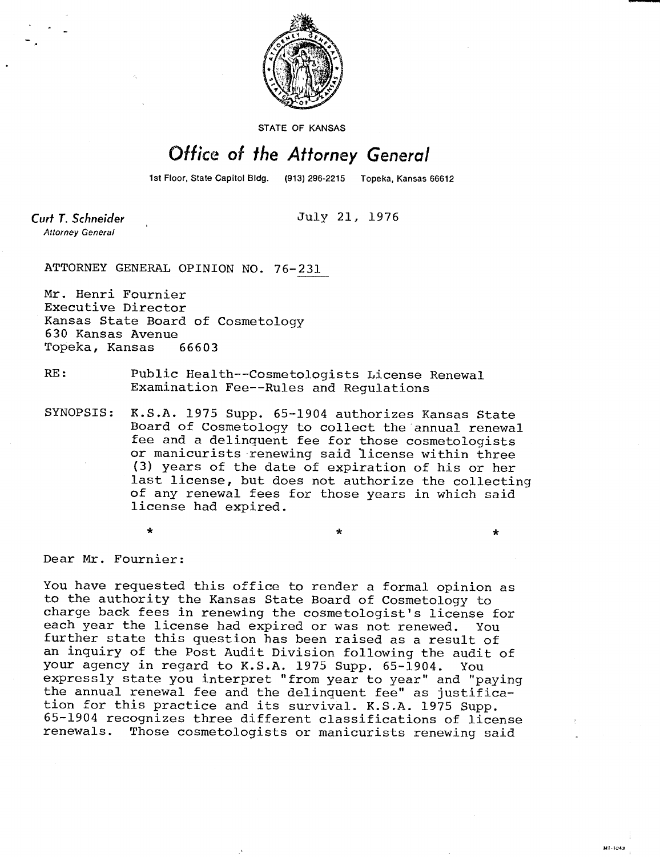

STATE OF KANSAS

## Office of the Attorney General

1st Floor, State Capitol Bldg.

July 21, 1976

 $\star$ 

MI-1043

Curt T. Schneider **Attorney General** 

ATTORNEY GENERAL OPINION NO. 76-231

Mr. Henri Fournier Executive Director Kansas State Board of Cosmetology 630 Kansas Avenue Topeka, Kansas 66603

## RE: Public Health--Cosmetologists License Renewal Examination Fee--Rules and Regulations

SYNOPSIS: K.S.A. 1975 Supp. 65-1904 authorizes Kansas State Board of Cosmetology to collect the annual renewal fee and a delinquent fee for those cosmetologists or manicurists renewing said license within three (3) years of the date of expiration of his or her last license, but does not authorize the collecting of any renewal fees for those years in which said license had expired.

\*

Dear Mr. Fournier:

You have requested this office to render a formal opinion as to the authority the Kansas State Board of Cosmetology to charge back fees in renewing the cosmetologist's license for each year the license had expired or was not renewed. You further state this question has been raised as a result of an inquiry of the Post Audit Division following the audit of your agency in regard to K.S.A. 1975 Supp. 65-1904. You expressly state you interpret "from year to year" and "paying the annual renewal fee and the delinquent fee" as justification for this practice and its survival. K.S.A. 1975 Supp. 65-1904 recognizes three different classifications of license Those cosmetologists or manicurists renewing said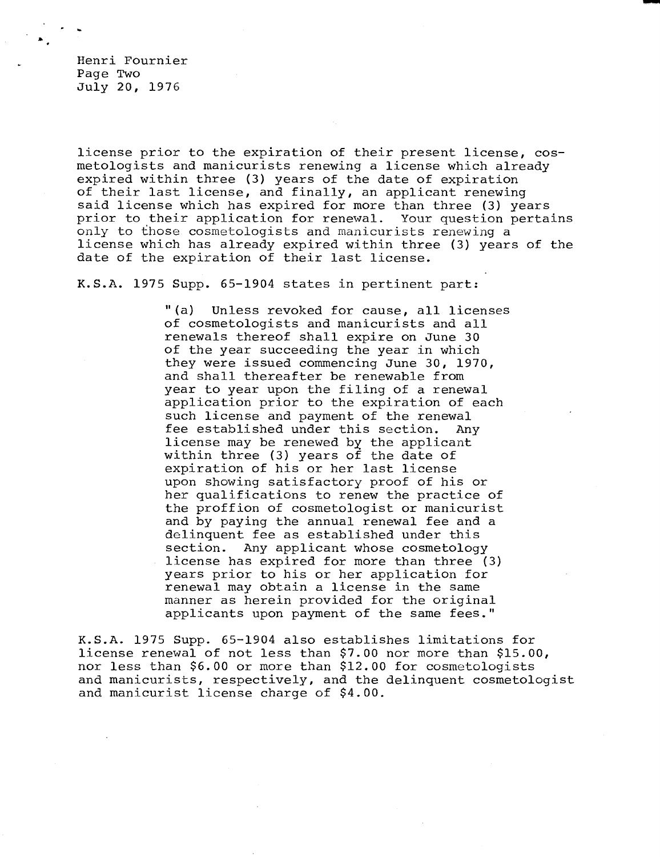Henri Fournier Page Two July 20, 1976

license prior to the expiration of their present license, cosmetologists and manicurists renewing a license which already expired within three (3) years of the date of expiration of their last license, and finally, an applicant renewing said license which has expired for more than three (3) years prior to their application for renewal. Your question pertains only to those cosmetologists and manicurists renewing a license which has already expired within three (3) years of the date of the expiration of their last license.

K.S.A. 1975 Supp. 65-1904 states in pertinent part:

"(a) Unless revoked for cause, all licenses of cosmetologists and manicurists and all renewals thereof shall expire on June 30 of the year succeeding the year in which they were issued commencing June 30, 1970, and shall thereafter be renewable from year to year upon the filing of a renewal application prior to the expiration of each such license and payment of the renewal fee established under this section. Any license may be renewed by the applicant within three (3) years of the date of expiration of his or her last license upon showing satisfactory proof of his or her qualifications to renew the practice of the proffion of cosmetologist or manicurist and by paying the annual renewal fee and a delinquent fee as established under this section. Any applicant whose cosmetology license has expired for more than three (3) years prior to his or her application for renewal may obtain a license in the same manner as herein provided for the original applicants upon payment of the same fees."

K.S.A. 1975 Supp. 65-1904 also establishes limitations for license renewal of not less than \$7.00 nor more than \$15.00, nor less than \$6.00 or more than \$12.00 for cosmetologists and manicurists, respectively, and the delinquent cosmetologist and manicurist license charge of \$4.00.